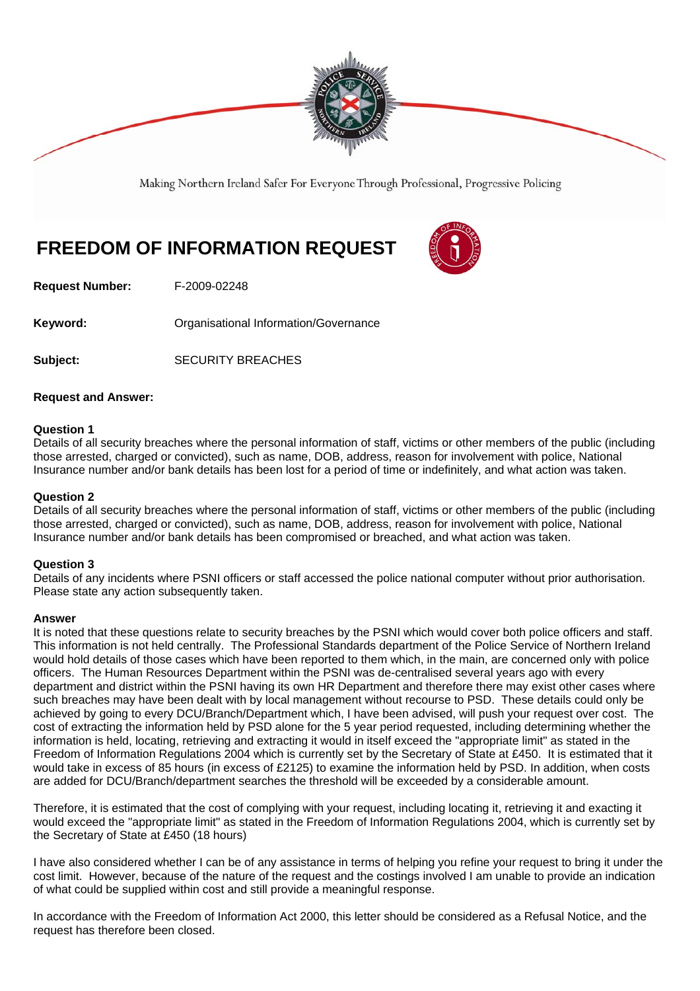

Making Northern Ireland Safer For Everyone Through Professional, Progressive Policing

# **FREEDOM OF INFORMATION REQUEST**



**Request Number:** F-2009-02248

**Keyword: Communistry Communistional Information/Governance** 

Subject: SECURITY BREACHES

## **Request and Answer:**

## **Question 1**

Details of all security breaches where the personal information of staff, victims or other members of the public (including those arrested, charged or convicted), such as name, DOB, address, reason for involvement with police, National Insurance number and/or bank details has been lost for a period of time or indefinitely, and what action was taken.

### **Question 2**

Details of all security breaches where the personal information of staff, victims or other members of the public (including those arrested, charged or convicted), such as name, DOB, address, reason for involvement with police, National Insurance number and/or bank details has been compromised or breached, and what action was taken.

### **Question 3**

Details of any incidents where PSNI officers or staff accessed the police national computer without prior authorisation. Please state any action subsequently taken.

### **Answer**

It is noted that these questions relate to security breaches by the PSNI which would cover both police officers and staff. This information is not held centrally. The Professional Standards department of the Police Service of Northern Ireland would hold details of those cases which have been reported to them which, in the main, are concerned only with police officers. The Human Resources Department within the PSNI was de-centralised several years ago with every department and district within the PSNI having its own HR Department and therefore there may exist other cases where such breaches may have been dealt with by local management without recourse to PSD. These details could only be achieved by going to every DCU/Branch/Department which, I have been advised, will push your request over cost. The cost of extracting the information held by PSD alone for the 5 year period requested, including determining whether the information is held, locating, retrieving and extracting it would in itself exceed the "appropriate limit" as stated in the Freedom of Information Regulations 2004 which is currently set by the Secretary of State at £450. It is estimated that it would take in excess of 85 hours (in excess of £2125) to examine the information held by PSD. In addition, when costs are added for DCU/Branch/department searches the threshold will be exceeded by a considerable amount.

Therefore, it is estimated that the cost of complying with your request, including locating it, retrieving it and exacting it would exceed the "appropriate limit" as stated in the Freedom of Information Regulations 2004, which is currently set by the Secretary of State at £450 (18 hours)

I have also considered whether I can be of any assistance in terms of helping you refine your request to bring it under the cost limit. However, because of the nature of the request and the costings involved I am unable to provide an indication of what could be supplied within cost and still provide a meaningful response.

In accordance with the Freedom of Information Act 2000, this letter should be considered as a Refusal Notice, and the request has therefore been closed.